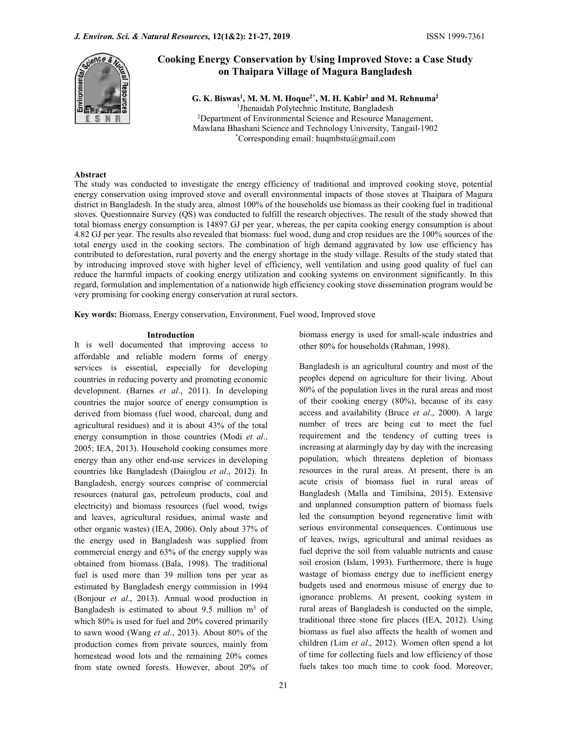

# Cooking Energy Conservation by Using Improved Stove: a Case Study on Thaipara Village of Magura Bangladesh

G. K. Biswas<sup>1</sup>, M. M. M. Hoque<sup>2\*</sup>, M. H. Kabir<sup>2</sup> and M. Rehnuma<sup>2</sup> <sup>1</sup>Jhenaidah Polytechnic Institute, Bangladesh <sup>2</sup>Department of Environmental Science and Resource Management, Mawlana Bhashani Science and Technology University, Tangail-1902 \*Corresponding email: huqmbstu $@g$ gmail.com

#### Abstract

The study was conducted to investigate the energy efficiency of traditional and improved cooking stove, potential energy conservation using improved stove and overall environmental impacts of those stoves at Thaipara of Magura district in Bangladesh. In the study area, almost 100% of the households use biomass as their cooking fuel in traditional stoves. Questionnaire Survey (QS) was conducted to fulfill the research objectives. The result of the study showed that total biomass energy consumption is 14897 GJ per year, whereas, the per capita cooking energy consumption is about 4.82 GJ per year. The results also revealed that biomass: fuel wood, dung and crop residues are the 100% sources of the total energy used in the cooking sectors. The combination of high demand aggravated by low use efficiency has contributed to deforestation, rural poverty and the energy shortage in the study village. Results of the study stated that by introducing improved stove with higher level of efficiency, well ventilation and using good quality of fuel can reduce the harmful impacts of cooking energy utilization and cooking systems on environment significantly. In this regard, formulation and implementation of a nationwide high efficiency cooking stove dissemination program would be very promising for cooking energy conservation at rural sectors.

Key words: Biomass, Energy conservation, Environment, Fuel wood, Improved stove

#### Introduction

It is well documented that improving access to affordable and reliable modern forms of energy services is essential, especially for developing countries in reducing poverty and promoting economic development. (Barnes et al., 2011). In developing countries the major source of energy consumption is derived from biomass (fuel wood, charcoal, dung and agricultural residues) and it is about 43% of the total energy consumption in those countries (Modi et al., 2005; IEA, 2013). Household cooking consumes more energy than any other end-use services in developing countries like Bangladesh (Daioglou et al., 2012). In Bangladesh, energy sources comprise of commercial resources (natural gas, petroleum products, coal and electricity) and biomass resources (fuel wood, twigs and leaves, agricultural residues, animal waste and other organic wastes) (IEA, 2006). Only about 37% of the energy used in Bangladesh was supplied from commercial energy and 63% of the energy supply was obtained from biomass (Bala, 1998). The traditional fuel is used more than 39 million tons per year as estimated by Bangladesh energy commission in 1994 (Bonjour et al., 2013). Annual wood production in Bangladesh is estimated to about 9.5 million  $m<sup>3</sup>$  of which 80% is used for fuel and 20% covered primarily to sawn wood (Wang et al., 2013). About 80% of the production comes from private sources, mainly from homestead wood lots and the remaining 20% comes from state owned forests. However, about 20% of

biomass energy is used for small-scale industries and other 80% for households (Rahman, 1998).

 of rural areas of Bangladesh is conducted on the simple, Bangladesh is an agricultural country and most of the peoples depend on agriculture for their living. About 80% of the population lives in the rural areas and most of their cooking energy (80%), because of its easy access and availability (Bruce et al., 2000). A large number of trees are being cut to meet the fuel requirement and the tendency of cutting trees is increasing at alarmingly day by day with the increasing population, which threatens depletion of biomass resources in the rural areas. At present, there is an acute crisis of biomass fuel in rural areas of Bangladesh (Malla and Timilsina, 2015). Extensive and unplanned consumption pattern of biomass fuels led the consumption beyond regenerative limit with serious environmental consequences. Continuous use of leaves, twigs, agricultural and animal residues as fuel deprive the soil from valuable nutrients and cause soil erosion (Islam, 1993). Furthermore, there is huge wastage of biomass energy due to inefficient energy budgets used and enormous misuse of energy due to ignorance problems. At present, cooking system in traditional three stone fire places (IEA, 2012). Using biomass as fuel also affects the health of women and children (Lim et al., 2012). Women often spend a lot of time for collecting fuels and low efficiency of those fuels takes too much time to cook food. Moreover,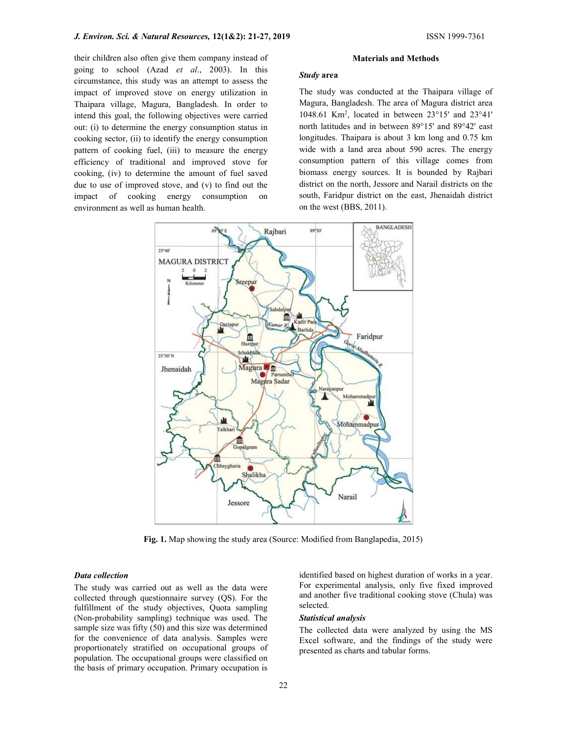their children also often give them company instead of going to school (Azad et al., 2003). In this circumstance, this study was an attempt to assess the impact of improved stove on energy utilization in Thaipara village, Magura, Bangladesh. In order to intend this goal, the following objectives were carried out: (i) to determine the energy consumption status in cooking sector, (ii) to identify the energy consumption pattern of cooking fuel, (iii) to measure the energy efficiency of traditional and improved stove for cooking, (iv) to determine the amount of fuel saved due to use of improved stove, and (v) to find out the impact of cooking energy consumption on environment as well as human health.

#### Materials and Methods

## Study area

The study was conducted at the Thaipara village of Magura, Bangladesh. The area of Magura district area 1048.61 Km<sup>2</sup> , located in between 23°15' and 23°41' north latitudes and in between 89°15' and 89°42' east longitudes. Thaipara is about 3 km long and 0.75 km wide with a land area about 590 acres. The energy consumption pattern of this village comes from biomass energy sources. It is bounded by Rajbari district on the north, Jessore and Narail districts on the south, Faridpur district on the east, Jhenaidah district on the west (BBS, 2011).



Fig. 1. Map showing the study area (Source: Modified from Banglapedia, 2015)

## Data collection

The study was carried out as well as the data were collected through questionnaire survey (QS). For the fulfillment of the study objectives, Quota sampling (Non-probability sampling) technique was used. The sample size was fifty (50) and this size was determined for the convenience of data analysis. Samples were proportionately stratified on occupational groups of population. The occupational groups were classified on the basis of primary occupation. Primary occupation is

identified based on highest duration of works in a year. For experimental analysis, only five fixed improved and another five traditional cooking stove (Chula) was selected.

### Statistical analysis

The collected data were analyzed by using the MS Excel software, and the findings of the study were presented as charts and tabular forms.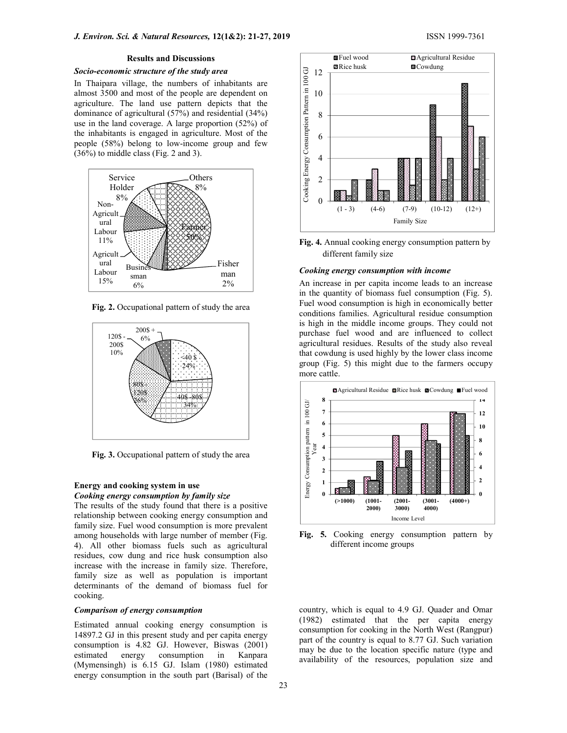## Socio-economic structure of the study area

In Thaipara village, the numbers of inhabitants are almost 3500 and most of the people are dependent on agriculture. The land use pattern depicts that the dominance of agricultural  $(57%)$  and residential  $(34%)$ use in the land coverage. A large proportion (52%) of the inhabitants is engaged in agriculture. Most of the people (58%) belong to low-income group and few (36%) to middle class (Fig. 2 and 3). ople are dependent on<br>tern depicts that the<br>and residential (34%)<br>reproportion (52%) of<br>riculture. Most of the<br>come group and few<br>13).<br>Others<br>8%<br>Others<br>8%<br>Sample 2<br>2<br>come group and few<br>discussions of the<br> $\frac{25}{13}$ <br> $\frac{25$ 



Fig. 2. Occupational pattern of study the area



Fig. 3. Occupational pattern of study the area

### Energy and cooking system in use Cooking energy consumption by family size

The results of the study found that there is a positive relationship between cooking energy consumption and family size. Fuel wood consumption is more prevalent among households with large number of member (Fig. 4). All other biomass fuels such as agricultural residues, cow dung and rice husk consumption also increase with the increase in family size. Therefore, family size as well as population is important determinants of the demand of biomass fuel for cooking.

## Comparison of energy consumption

Estimated annual cooking energy consumption is 14897.2 GJ in this present study and per capita energy consumption is 4.82 GJ. However, Biswas (2001) estimated energy consumption in Kanpara (Mymensingh) is 6.15 GJ. Islam (1980) estimated energy consumption in the south part (Barisal) of the



different family size

# man **Cooking energy consumption with income**

in the quantity of biomass fuel consumption (Fig. 5). Fuel wood consumption is high in economically better conditions families. Agricultural residue consumption is high in the middle income groups. They could not  $200\$ <sup>+</sup>  $\sqrt{ }$  purchase fuel wood and are influenced to collect <sup>6%</sup> parents rule wood and are imacheed to concern agricultural residues. Results of the study also reveal that cowdung is used highly by the lower class income 10%  $\langle 40 \text{ s.} \rangle$  and cowding is used inginy by the lower ends mediator  $\langle 249 \text{ s.} \rangle$  group (Fig. 5) this might due to the farmers occupy more cattle.  $24\%$   $\therefore$   $\lambda$  group (rig. 5) this might due to the 12



Fig. 5. Cooking energy consumption pattern by different income groups

country, which is equal to 4.9 GJ. Quader and Omar (1982) estimated that the per capita energy consumption for cooking in the North West (Rangpur) part of the country is equal to 8.77 GJ. Such variation may be due to the location specific nature (type and availability of the resources, population size and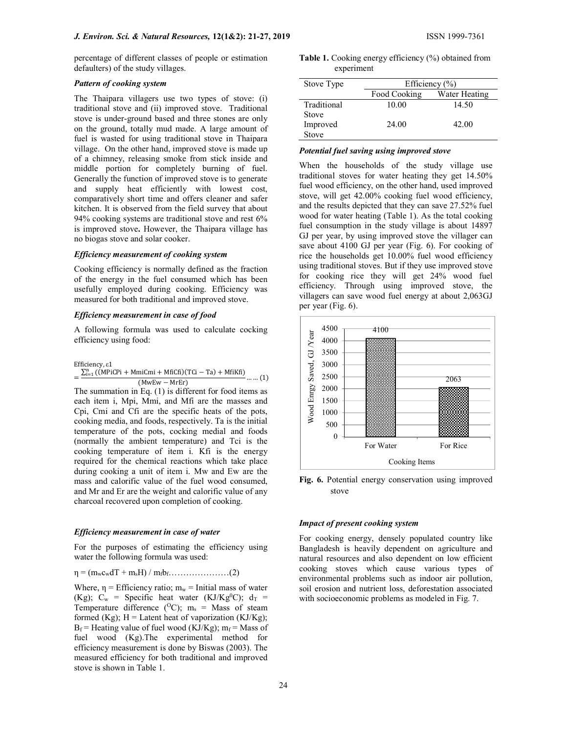percentage of different classes of people or estimation defaulters) of the study villages.

## Pattern of cooking system

The Thaipara villagers use two types of stove: (i) traditional stove and (ii) improved stove. Traditional stove is under-ground based and three stones are only on the ground, totally mud made. A large amount of fuel is wasted for using traditional stove in Thaipara village. On the other hand, improved stove is made up of a chimney, releasing smoke from stick inside and middle portion for completely burning of fuel. Generally the function of improved stove is to generate and supply heat efficiently with lowest cost, comparatively short time and offers cleaner and safer kitchen. It is observed from the field survey that about 94% cooking systems are traditional stove and rest 6% is improved stove. However, the Thaipara village has no biogas stove and solar cooker.

## Efficiency measurement of cooking system

Cooking efficiency is normally defined as the fraction of the energy in the fuel consumed which has been usefully employed during cooking. Efficiency was measured for both traditional and improved stove.

## Efficiency measurement in case of food

A following formula was used to calculate cocking efficiency using food:

Efficiency, ε1

 $= \frac{\sum_{i=1}^{n} (\tilde{(MPiCPi + MmiCmi + MfìCfi)(TCi - Ta) + Mfikfi)}{(MwEw - MrEr)} \dots (1)$ 

The summation in Eq. (1) is different for food items as each item i, Mpi, Mmi, and Mfi are the masses and Cpi, Cmi and Cfi are the specific heats of the pots, cooking media, and foods, respectively. Ta is the initial temperature of the pots, cocking medial and foods (normally the ambient temperature) and Tci is the cooking temperature of item i. Kfi is the energy required for the chemical reactions which take place during cooking a unit of item i. Mw and Ew are the mass and calorific value of the fuel wood consumed, and Mr and Er are the weight and calorific value of any charcoal recovered upon completion of cooking.

#### Efficiency measurement in case of water

For the purposes of estimating the efficiency using water the following formula was used:

η = (mwcwdT + msH) / mfbf…………………(2)

Where,  $\eta$  = Efficiency ratio;  $m_w$  = Initial mass of water (Kg);  $C_w$  = Specific heat water (KJ/Kg<sup>0</sup>C);  $d_T$  = Temperature difference ( $^{O}C$ ); m<sub>s</sub> = Mass of steam formed (Kg);  $H =$  Latent heat of vaporization (KJ/Kg);  $B_f$  = Heating value of fuel wood (KJ/Kg);  $m_f$  = Mass of fuel wood (Kg).The experimental method for efficiency measurement is done by Biswas (2003). The measured efficiency for both traditional and improved stove is shown in Table 1.

|            | Table 1. Cooking energy efficiency (%) obtained from |
|------------|------------------------------------------------------|
| experiment |                                                      |

| Stove Type  | Efficiency $(\% )$ |               |  |  |  |  |
|-------------|--------------------|---------------|--|--|--|--|
|             | Food Cooking       | Water Heating |  |  |  |  |
| Traditional | 10.00              | 14.50         |  |  |  |  |
| Stove       |                    |               |  |  |  |  |
| Improved    | 24.00              | 42.00         |  |  |  |  |
| Stove       |                    |               |  |  |  |  |

#### Potential fuel saving using improved stove

When the households of the study village use traditional stoves for water heating they get 14.50% fuel wood efficiency, on the other hand, used improved stove, will get 42.00% cooking fuel wood efficiency, and the results depicted that they can save 27.52% fuel wood for water heating (Table 1). As the total cooking fuel consumption in the study village is about 14897 GJ per year, by using improved stove the villager can save about 4100 GJ per year (Fig. 6). For cooking of rice the households get 10.00% fuel wood efficiency using traditional stoves. But if they use improved stove for cooking rice they will get 24% wood fuel efficiency. Through using improved stove, the villagers can save wood fuel energy at about 2,063GJ per year (Fig. 6).



Fig. 6. Potential energy conservation using improved stove

## Impact of present cooking system

For cooking energy, densely populated country like Bangladesh is heavily dependent on agriculture and natural resources and also dependent on low efficient cooking stoves which cause various types of environmental problems such as indoor air pollution, soil erosion and nutrient loss, deforestation associated with socioeconomic problems as modeled in Fig. 7.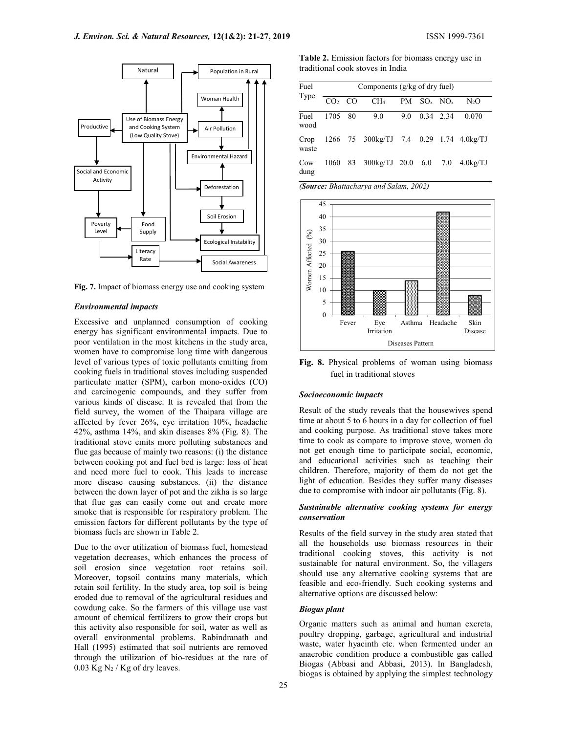

Fig. 7. Impact of biomass energy use and cooking system

#### Environmental impacts

Excessive and unplanned consumption of cooking energy has significant environmental impacts. Due to poor ventilation in the most kitchens in the study area, women have to compromise long time with dangerous level of various types of toxic pollutants emitting from cooking fuels in traditional stoves including suspended particulate matter (SPM), carbon mono-oxides (CO) and carcinogenic compounds, and they suffer from various kinds of disease. It is revealed that from the field survey, the women of the Thaipara village are affected by fever 26%, eye irritation 10%, headache 42%, asthma 14%, and skin diseases 8% (Fig. 8). The traditional stove emits more polluting substances and flue gas because of mainly two reasons: (i) the distance between cooking pot and fuel bed is large: loss of heat and need more fuel to cook. This leads to increase more disease causing substances. (ii) the distance between the down layer of pot and the zikha is so large that flue gas can easily come out and create more smoke that is responsible for respiratory problem. The emission factors for different pollutants by the type of biomass fuels are shown in Table 2.

Due to the over utilization of biomass fuel, homestead vegetation decreases, which enhances the process of soil erosion since vegetation root retains soil. Moreover, topsoil contains many materials, which retain soil fertility. In the study area, top soil is being eroded due to removal of the agricultural residues and cowdung cake. So the farmers of this village use vast amount of chemical fertilizers to grow their crops but this activity also responsible for soil, water as well as overall environmental problems. Rabindranath and Hall (1995) estimated that soil nutrients are removed through the utilization of bio-residues at the rate of  $0.03$  Kg N<sub>2</sub> / Kg of dry leaves.

Table 2. Emission factors for biomass energy use in traditional cook stoves in India

| Fuel         | Components $(g/kg \text{ of dry fuel})$ |  |                                              |  |               |  |        |
|--------------|-----------------------------------------|--|----------------------------------------------|--|---------------|--|--------|
| Type         |                                         |  | $CO2 CO$ $CH4 PM SOx NOx$                    |  |               |  | $N_2O$ |
| Fuel<br>wood | 1705 80                                 |  | 9.0                                          |  | 9.0 0.34 2.34 |  | 0.070  |
| waste        |                                         |  | Crop 1266 75 300kg/TJ 7.4 0.29 1.74 4.0kg/TJ |  |               |  |        |
| Cow<br>dung  |                                         |  | 1060 83 300kg/TJ 20.0 6.0 7.0 4.0kg/TJ       |  |               |  |        |

Deforestation  $\vert$   $\vert$   $\vert$  (Source: Bhattacharya and Salam, 2002)



Fig. 8. Physical problems of woman using biomass fuel in traditional stoves

#### Socioeconomic impacts

Result of the study reveals that the housewives spend time at about 5 to 6 hours in a day for collection of fuel and cooking purpose. As traditional stove takes more time to cook as compare to improve stove, women do not get enough time to participate social, economic, and educational activities such as teaching their children. Therefore, majority of them do not get the light of education. Besides they suffer many diseases due to compromise with indoor air pollutants (Fig. 8).

## Sustainable alternative cooking systems for energy conservation

Results of the field survey in the study area stated that all the households use biomass resources in their traditional cooking stoves, this activity is not sustainable for natural environment. So, the villagers should use any alternative cooking systems that are feasible and eco-friendly. Such cooking systems and alternative options are discussed below:

## Biogas plant

Organic matters such as animal and human excreta, poultry dropping, garbage, agricultural and industrial waste, water hyacinth etc. when fermented under an anaerobic condition produce a combustible gas called Biogas (Abbasi and Abbasi, 2013). In Bangladesh, biogas is obtained by applying the simplest technology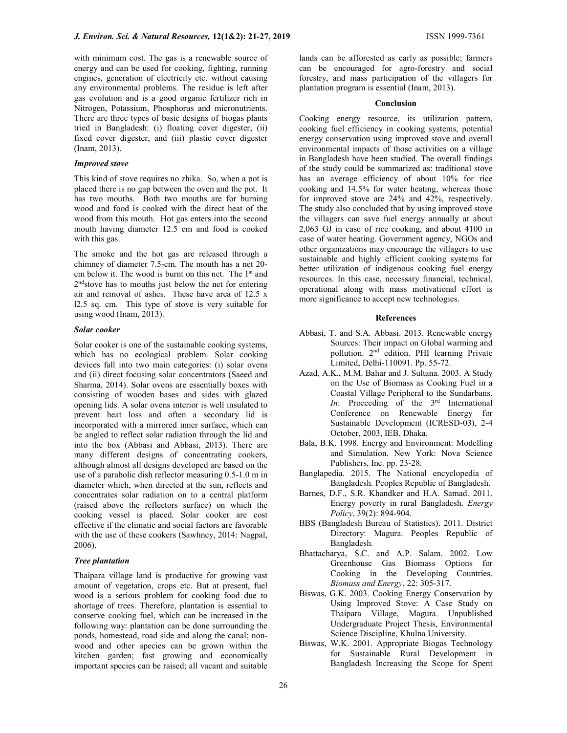with minimum cost. The gas is a renewable source of energy and can be used for cooking, fighting, running engines, generation of electricity etc. without causing any environmental problems. The residue is left after gas evolution and is a good organic fertilizer rich in Nitrogen, Potassium, Phosphorus and micronutrients. There are three types of basic designs of biogas plants tried in Bangladesh: (i) floating cover digester, (ii) fixed cover digester, and (iii) plastic cover digester (Inam, 2013).

## Improved stove

This kind of stove requires no zhika. So, when a pot is placed there is no gap between the oven and the pot. It has two mouths. Both two mouths are for burning wood and food is cooked with the direct heat of the wood from this mouth. Hot gas enters into the second mouth having diameter 12.5 cm and food is cooked with this gas.

The smoke and the hot gas are released through a chimney of diameter 7.5-cm. The mouth has a net 20 cm below it. The wood is burnt on this net. The  $1<sup>st</sup>$  and 2<sup>nd</sup>stove has to mouths just below the net for entering air and removal of ashes. These have area of 12.5 x l2.5 sq. cm. This type of stove is very suitable for using wood (Inam, 2013).

## Solar cooker

Solar cooker is one of the sustainable cooking systems, which has no ecological problem. Solar cooking devices fall into two main categories: (i) solar ovens and (ii) direct focusing solar concentrators (Saeed and Sharma, 2014). Solar ovens are essentially boxes with consisting of wooden bases and sides with glazed opening lids. A solar ovens interior is well insulated to prevent heat loss and often a secondary lid is incorporated with a mirrored inner surface, which can be angled to reflect solar radiation through the lid and into the box (Abbasi and Abbasi, 2013). There are many different designs of concentrating cookers, although almost all designs developed are based on the use of a parabolic dish reflector measuring 0.5-1.0 m in diameter which, when directed at the sun, reflects and concentrates solar radiation on to a central platform (raised above the reflectors surface) on which the cooking vessel is placed. Solar cooker are cost effective if the climatic and social factors are favorable with the use of these cookers (Sawhney, 2014: Nagpal, 2006).

## Tree plantation

Thaipara village land is productive for growing vast amount of vegetation, crops etc. But at present, fuel wood is a serious problem for cooking food due to shortage of trees. Therefore, plantation is essential to conserve cooking fuel, which can be increased in the following way: plantation can be done surrounding the ponds, homestead, road side and along the canal; nonwood and other species can be grown within the kitchen garden; fast growing and economically important species can be raised; all vacant and suitable

lands can be afforested as early as possible; farmers can be encouraged for agro-forestry and social forestry, and mass participation of the villagers for plantation program is essential (Inam, 2013).

#### Conclusion

Cooking energy resource, its utilization pattern, cooking fuel efficiency in cooking systems, potential energy conservation using improved stove and overall environmental impacts of those activities on a village in Bangladesh have been studied. The overall findings of the study could be summarized as: traditional stove has an average efficiency of about 10% for rice cooking and 14.5% for water heating, whereas those for improved stove are 24% and 42%, respectively. The study also concluded that by using improved stove the villagers can save fuel energy annually at about 2,063 GJ in case of rice cooking, and about 4100 in case of water heating. Government agency, NGOs and other organizations may encourage the villagers to use sustainable and highly efficient cooking systems for better utilization of indigenous cooking fuel energy resources. In this case, necessary financial, technical, operational along with mass motivational effort is more significance to accept new technologies.

### References

- Abbasi, T. and S.A. Abbasi. 2013. Renewable energy Sources: Their impact on Global warming and pollution. 2nd edition. PHI learning Private Limited, Delhi-110091. Pp. 55-72.
- Azad, A.K., M.M. Bahar and J. Sultana. 2003. A Study on the Use of Biomass as Cooking Fuel in a Coastal Village Peripheral to the Sundarbans. In: Proceeding of the  $3<sup>rd</sup>$  International Conference on Renewable Energy for Sustainable Development (ICRESD-03), 2-4 October, 2003, IEB, Dhaka.
- Bala, B.K. 1998. Energy and Environment: Modelling and Simulation. New York: Nova Science Publishers, Inc. pp. 23-28.
- Banglapedia. 2015. The National encyclopedia of Bangladesh. Peoples Republic of Bangladesh.
- Barnes, D.F., S.R. Khandker and H.A. Samad. 2011. Energy poverty in rural Bangladesh. Energy Policy, 39(2): 894-904.
- BBS (Bangladesh Bureau of Statistics). 2011. District Directory: Magura. Peoples Republic of Bangladesh.
- Bhattacharya, S.C. and A.P. Salam. 2002. Low Greenhouse Gas Biomass Options for Cooking in the Developing Countries. Biomass and Energy, 22: 305-317.
- Biswas, G.K. 2003. Cooking Energy Conservation by Using Improved Stove: A Case Study on Thaipara Village, Magura. Unpublished Undergraduate Project Thesis, Environmental Science Discipline, Khulna University.
- Biswas, W.K. 2001. Appropriate Biogas Technology for Sustainable Rural Development in Bangladesh Increasing the Scope for Spent